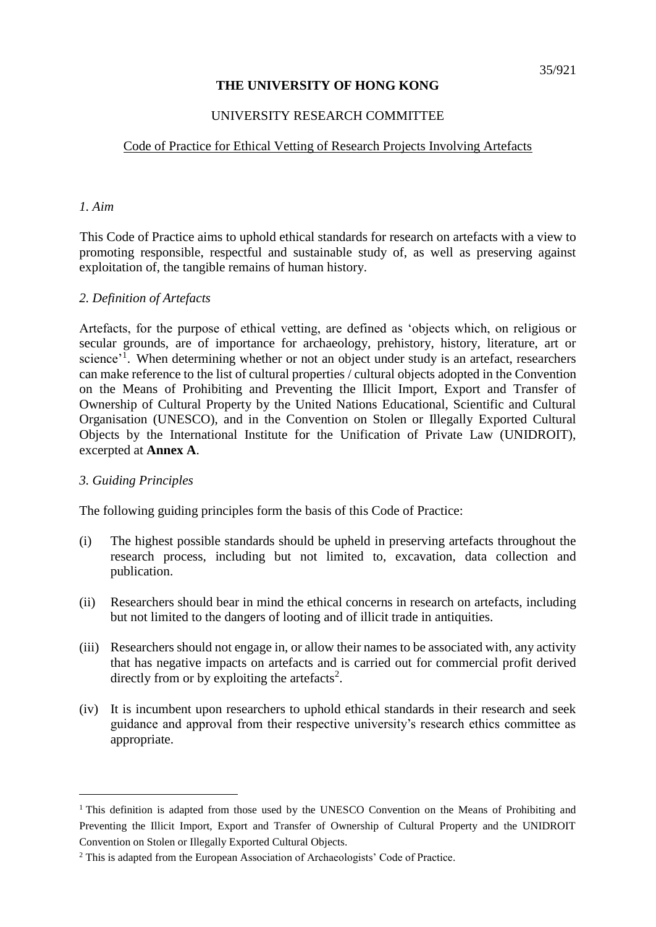# **THE UNIVERSITY OF HONG KONG**

### UNIVERSITY RESEARCH COMMITTEE

## Code of Practice for Ethical Vetting of Research Projects Involving Artefacts

#### *1. Aim*

This Code of Practice aims to uphold ethical standards for research on artefacts with a view to promoting responsible, respectful and sustainable study of, as well as preserving against exploitation of, the tangible remains of human history.

## *2. Definition of Artefacts*

Artefacts, for the purpose of ethical vetting, are defined as 'objects which, on religious or secular grounds, are of importance for archaeology, prehistory, history, literature, art or science<sup>'1</sup>. When determining whether or not an object under study is an artefact, researchers can make reference to the list of cultural properties / cultural objects adopted in the Convention on the Means of Prohibiting and Preventing the Illicit Import, Export and Transfer of Ownership of Cultural Property by the United Nations Educational, Scientific and Cultural Organisation (UNESCO), and in the Convention on Stolen or Illegally Exported Cultural Objects by the International Institute for the Unification of Private Law (UNIDROIT), excerpted at **Annex A**.

## *3. Guiding Principles*

 $\overline{a}$ 

The following guiding principles form the basis of this Code of Practice:

- (i) The highest possible standards should be upheld in preserving artefacts throughout the research process, including but not limited to, excavation, data collection and publication.
- (ii) Researchers should bear in mind the ethical concerns in research on artefacts, including but not limited to the dangers of looting and of illicit trade in antiquities.
- (iii) Researchers should not engage in, or allow their names to be associated with, any activity that has negative impacts on artefacts and is carried out for commercial profit derived directly from or by exploiting the artefacts<sup>2</sup>.
- (iv) It is incumbent upon researchers to uphold ethical standards in their research and seek guidance and approval from their respective university's research ethics committee as appropriate.

<sup>&</sup>lt;sup>1</sup> This definition is adapted from those used by the UNESCO Convention on the Means of Prohibiting and Preventing the Illicit Import, Export and Transfer of Ownership of Cultural Property and the UNIDROIT Convention on Stolen or Illegally Exported Cultural Objects.

<sup>&</sup>lt;sup>2</sup> This is adapted from the European Association of Archaeologists' Code of Practice.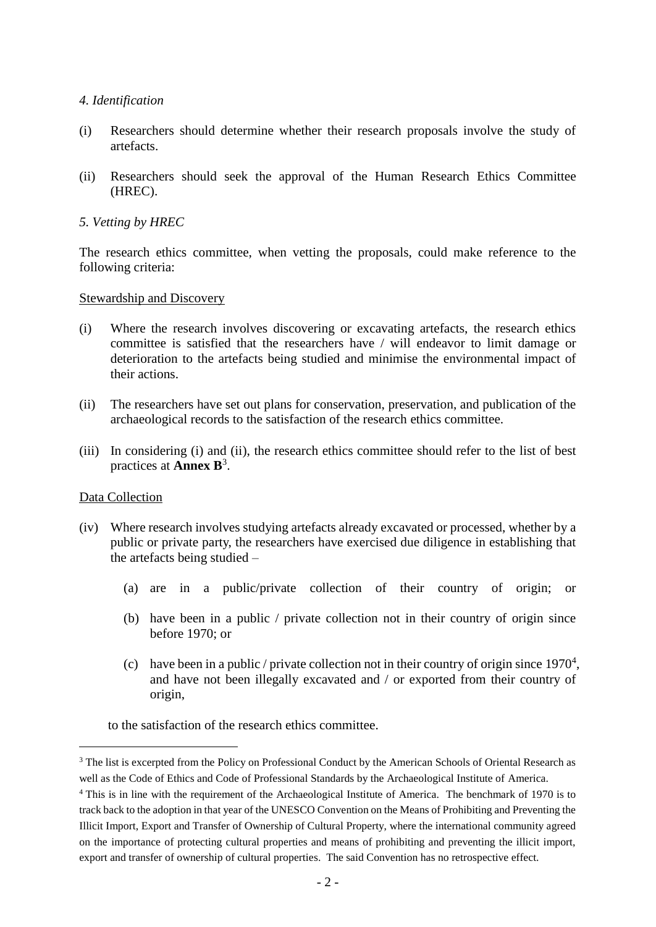## *4. Identification*

- (i) Researchers should determine whether their research proposals involve the study of artefacts.
- (ii) Researchers should seek the approval of the Human Research Ethics Committee (HREC).

# *5. Vetting by HREC*

The research ethics committee, when vetting the proposals, could make reference to the following criteria:

## Stewardship and Discovery

- (i) Where the research involves discovering or excavating artefacts, the research ethics committee is satisfied that the researchers have / will endeavor to limit damage or deterioration to the artefacts being studied and minimise the environmental impact of their actions.
- (ii) The researchers have set out plans for conservation, preservation, and publication of the archaeological records to the satisfaction of the research ethics committee.
- (iii) In considering (i) and (ii), the research ethics committee should refer to the list of best practices at **Annex B**<sup>3</sup> .

## Data Collection

 $\overline{a}$ 

- (iv) Where research involves studying artefacts already excavated or processed, whether by a public or private party, the researchers have exercised due diligence in establishing that the artefacts being studied –
	- (a) are in a public/private collection of their country of origin; or
	- (b) have been in a public / private collection not in their country of origin since before 1970; or
	- (c) have been in a public / private collection not in their country of origin since  $1970^4$ , and have not been illegally excavated and / or exported from their country of origin,
	- to the satisfaction of the research ethics committee.

<sup>&</sup>lt;sup>3</sup> The list is excerpted from the Policy on Professional Conduct by the American Schools of Oriental Research as well as the Code of Ethics and Code of Professional Standards by the Archaeological Institute of America.

<sup>&</sup>lt;sup>4</sup> This is in line with the requirement of the Archaeological Institute of America. The benchmark of 1970 is to track back to the adoption in that year of the UNESCO Convention on the Means of Prohibiting and Preventing the Illicit Import, Export and Transfer of Ownership of Cultural Property, where the international community agreed on the importance of protecting cultural properties and means of prohibiting and preventing the illicit import, export and transfer of ownership of cultural properties. The said Convention has no retrospective effect.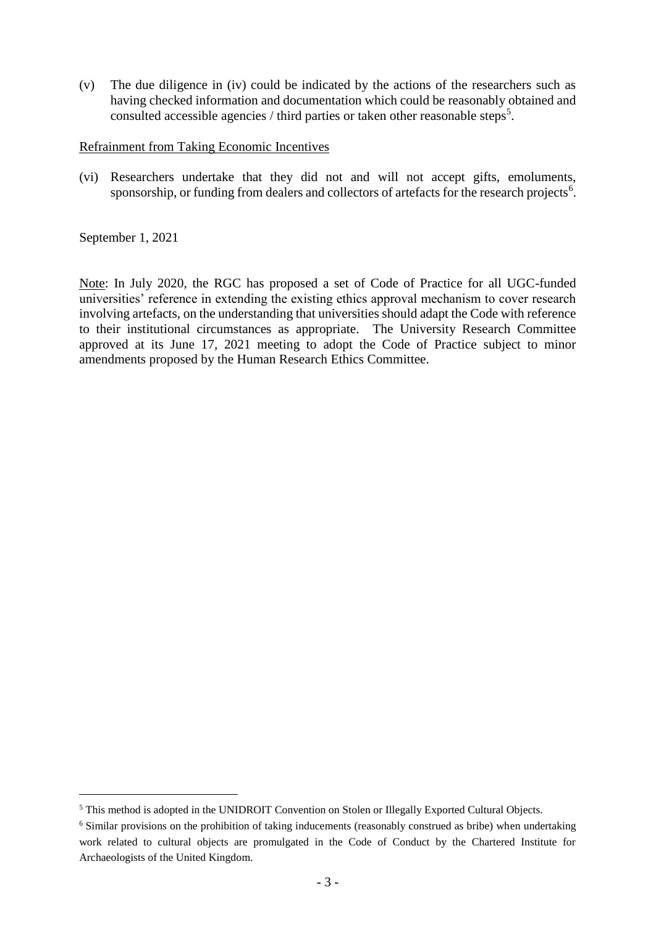(v) The due diligence in (iv) could be indicated by the actions of the researchers such as having checked information and documentation which could be reasonably obtained and consulted accessible agencies / third parties or taken other reasonable steps<sup>5</sup>.

#### Refrainment from Taking Economic Incentives

(vi) Researchers undertake that they did not and will not accept gifts, emoluments, sponsorship, or funding from dealers and collectors of artefacts for the research projects<sup>6</sup>.

September 1, 2021

 $\overline{a}$ 

Note: In July 2020, the RGC has proposed a set of Code of Practice for all UGC-funded universities' reference in extending the existing ethics approval mechanism to cover research involving artefacts, on the understanding that universities should adapt the Code with reference to their institutional circumstances as appropriate. The University Research Committee approved at its June 17, 2021 meeting to adopt the Code of Practice subject to minor amendments proposed by the Human Research Ethics Committee.

<sup>5</sup> This method is adopted in the UNIDROIT Convention on Stolen or Illegally Exported Cultural Objects.

<sup>&</sup>lt;sup>6</sup> Similar provisions on the prohibition of taking inducements (reasonably construed as bribe) when undertaking work related to cultural objects are promulgated in the Code of Conduct by the Chartered Institute for Archaeologists of the United Kingdom.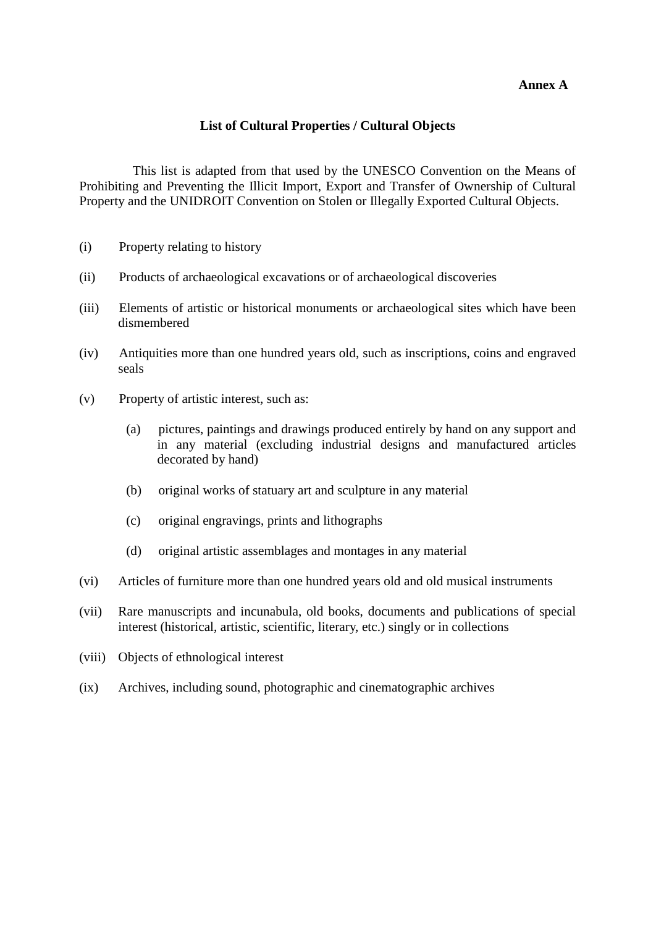#### **Annex A**

## **List of Cultural Properties / Cultural Objects**

This list is adapted from that used by the UNESCO Convention on the Means of Prohibiting and Preventing the Illicit Import, Export and Transfer of Ownership of Cultural Property and the UNIDROIT Convention on Stolen or Illegally Exported Cultural Objects.

- (i) Property relating to history
- (ii) Products of archaeological excavations or of archaeological discoveries
- (iii) Elements of artistic or historical monuments or archaeological sites which have been dismembered
- (iv) Antiquities more than one hundred years old, such as inscriptions, coins and engraved seals
- (v) Property of artistic interest, such as:
	- (a) pictures, paintings and drawings produced entirely by hand on any support and in any material (excluding industrial designs and manufactured articles decorated by hand)
	- (b) original works of statuary art and sculpture in any material
	- (c) original engravings, prints and lithographs
	- (d) original artistic assemblages and montages in any material
- (vi) Articles of furniture more than one hundred years old and old musical instruments
- (vii) Rare manuscripts and incunabula, old books, documents and publications of special interest (historical, artistic, scientific, literary, etc.) singly or in collections
- (viii) Objects of ethnological interest
- (ix) Archives, including sound, photographic and cinematographic archives